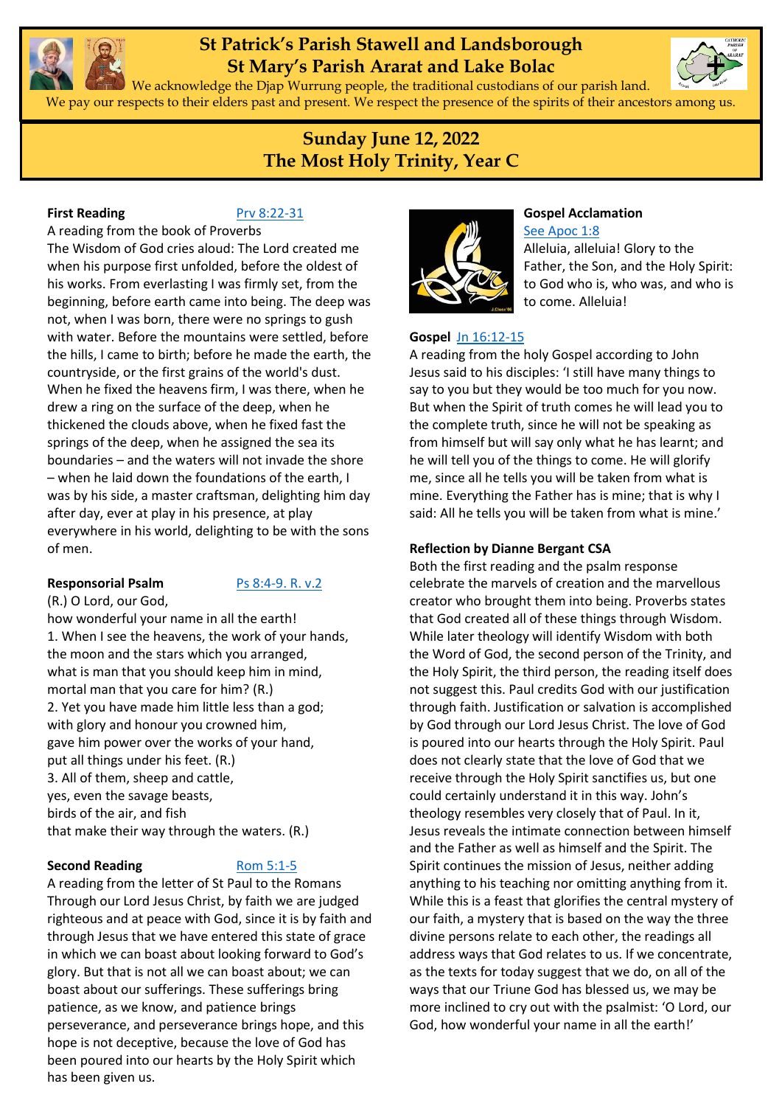

## **St Patrick's Parish Stawell and Landsborough St Mary's Parish Ararat and Lake Bolac**

We acknowledge the Djap Wurrung people, the traditional custodians of our parish land.

We pay our respects to their elders past and present. We respect the presence of the spirits of their ancestors among us.

## **Sunday June 12, 2022 The Most Holy Trinity, Year C**

## **First Reading** [Prv 8:22-31](https://www.liturgyhelp.com/ritual/lectionary/LectionaryList%7Cpro#pro008)

A reading from the book of Proverbs The Wisdom of God cries aloud: The Lord created me when his purpose first unfolded, before the oldest of his works. From everlasting I was firmly set, from the beginning, before earth came into being. The deep was not, when I was born, there were no springs to gush with water. Before the mountains were settled, before the hills, I came to birth; before he made the earth, the countryside, or the first grains of the world's dust. When he fixed the heavens firm, I was there, when he drew a ring on the surface of the deep, when he thickened the clouds above, when he fixed fast the springs of the deep, when he assigned the sea its boundaries – and the waters will not invade the shore – when he laid down the foundations of the earth, I was by his side, a master craftsman, delighting him day after day, ever at play in his presence, at play everywhere in his world, delighting to be with the sons of men.

## **Responsorial Psalm** [Ps 8:4-9. R. v.2](https://www.liturgyhelp.com/ritual/lectionary/LectionaryListPsalm%7Cpsm)

(R.) O Lord, our God, how wonderful your name in all the earth! 1. When I see the heavens, the work of your hands, the moon and the stars which you arranged, what is man that you should keep him in mind, mortal man that you care for him? (R.) 2. Yet you have made him little less than a god; with glory and honour you crowned him, gave him power over the works of your hand, put all things under his feet. (R.) 3. All of them, sheep and cattle, yes, even the savage beasts, birds of the air, and fish that make their way through the waters. (R.)

## **Second Reading** [Rom 5:1-5](https://www.liturgyhelp.com/ritual/lectionary/LectionaryList%7Crom#rom005)

A reading from the letter of St Paul to the Romans Through our Lord Jesus Christ, by faith we are judged righteous and at peace with God, since it is by faith and through Jesus that we have entered this state of grace in which we can boast about looking forward to God's glory. But that is not all we can boast about; we can boast about our sufferings. These sufferings bring patience, as we know, and patience brings perseverance, and perseverance brings hope, and this hope is not deceptive, because the love of God has been poured into our hearts by the Holy Spirit which has been given us.



## **Gospel Acclamation** [See Apoc 1:8](https://www.liturgyhelp.com/ritual/lectionary/LectionaryListGosAc%7Crev#rev001)

Alleluia, alleluia! Glory to the Father, the Son, and the Holy Spirit: to God who is, who was, and who is to come. Alleluia!

## **Gospel** [Jn 16:12-15](https://www.liturgyhelp.com/ritual/lectionary/LectionaryList%7Cjhn#jhn016)

A reading from the holy Gospel according to John Jesus said to his disciples: 'I still have many things to say to you but they would be too much for you now. But when the Spirit of truth comes he will lead you to the complete truth, since he will not be speaking as from himself but will say only what he has learnt; and he will tell you of the things to come. He will glorify me, since all he tells you will be taken from what is mine. Everything the Father has is mine; that is why I said: All he tells you will be taken from what is mine.'

## **Reflection by Dianne Bergant CSA**

Both the first reading and the psalm response celebrate the marvels of creation and the marvellous creator who brought them into being. Proverbs states that God created all of these things through Wisdom. While later theology will identify Wisdom with both the Word of God, the second person of the Trinity, and the Holy Spirit, the third person, the reading itself does not suggest this. Paul credits God with our justification through faith. Justification or salvation is accomplished by God through our Lord Jesus Christ. The love of God is poured into our hearts through the Holy Spirit. Paul does not clearly state that the love of God that we receive through the Holy Spirit sanctifies us, but one could certainly understand it in this way. John's theology resembles very closely that of Paul. In it, Jesus reveals the intimate connection between himself and the Father as well as himself and the Spirit. The Spirit continues the mission of Jesus, neither adding anything to his teaching nor omitting anything from it. While this is a feast that glorifies the central mystery of our faith, a mystery that is based on the way the three divine persons relate to each other, the readings all address ways that God relates to us. If we concentrate, as the texts for today suggest that we do, on all of the ways that our Triune God has blessed us, we may be more inclined to cry out with the psalmist: 'O Lord, our God, how wonderful your name in all the earth!'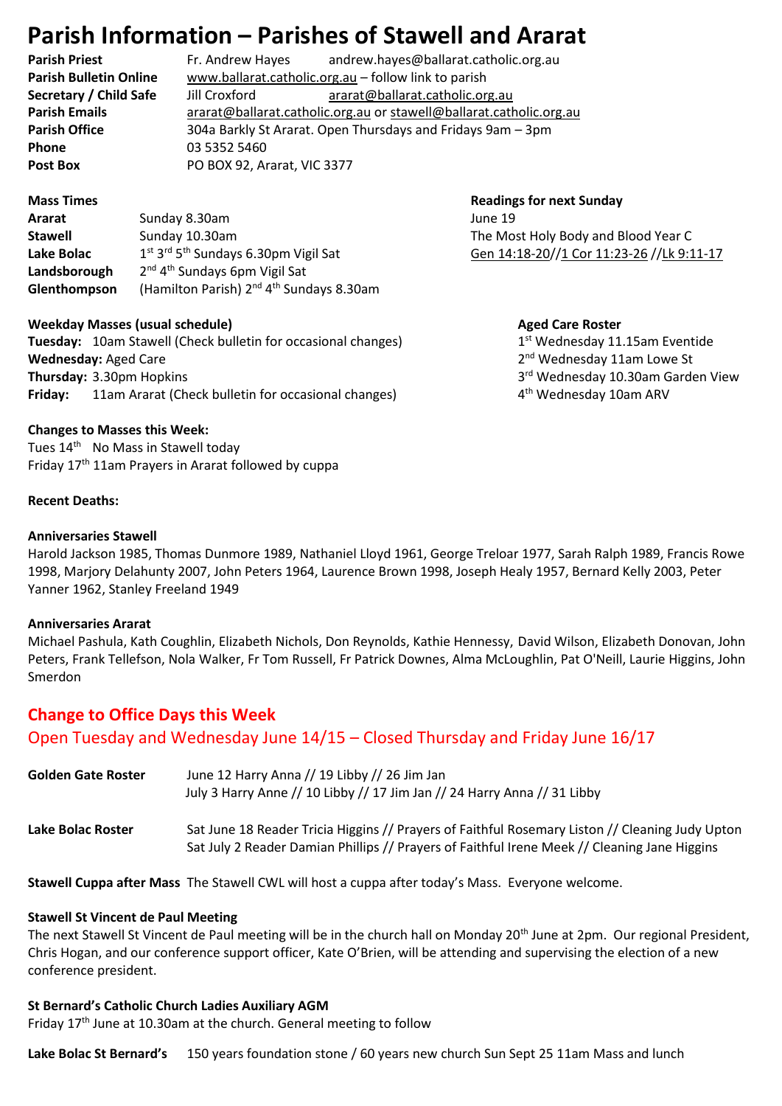# **Parish Information – Parishes of Stawell and Ararat**

**Phone** 03 5352 5460

**Parish Priest** Fr. Andrew Hayes andrew.hayes@ballarat.catholic.org.au **Parish Bulletin Online** [www.ballarat.catholic.org.au](http://www.ballarat.catholic.org.au/) – follow link to parish **Secretary / Child Safe** Jill Croxford [ararat@ballarat.catholic.org.au](mailto:ararat@ballarat.catholic.org.au) **Parish Emails** [ararat@ballarat.catholic.org.au](mailto:ararat@ballarat.catholic.org.au) or [stawell@ballarat.catholic.org.au](mailto:stawell@ballarat.catholic.org.au) **Parish Office** 304a Barkly St Ararat. Open Thursdays and Fridays 9am – 3pm Post Box **PO BOX 92, Ararat, VIC 3377** 

**Ararat Sunday 8.30am June 19 Stawell** Sunday 10.30am Sunday 10.30am Sunday 10.30am The Most Holy Body and Blood Year C **Lake Bolac** st 3 rd 5 Landsborough <sup>nd</sup> 4<sup>th</sup> Sundays 6pm Vigil Sat Glenthompson (Hamilton Parish) 2<sup>nd</sup> 4<sup>th</sup> Sundays 8.30am

## **Weekday Masses (usual schedule)** Masses (usual schedule) Aged Care Roster

**Tuesday:** 10am Stawell (Check bulletin for occasional changes) 1 **Wednesday: Aged Care Thursday: 3.30pm Hopkins Friday:** 11am Ararat (Check bulletin for occasional changes) 4

**Mass Times Construction Construction Construction Construction Construction Construction Construction Construction Construction Construction Construction Construction Construction Construction Construction Construction** [Gen 14:18-20/](https://www.liturgyhelp.com/ritual/lectionary/LectionaryList%7Cgen#gen014)[/1 Cor 11:23-26](https://www.liturgyhelp.com/ritual/lectionary/LectionaryList%7Cco1#co1011) /[/Lk 9:11-17](https://www.liturgyhelp.com/ritual/lectionary/LectionaryList%7Cluk#luk009)

## $1<sup>st</sup>$  Wednesday 11.15am Eventide 2<sup>nd</sup> Wednesday 11am Lowe St 3rd Wednesday 10.30am Garden View 4<sup>th</sup> Wednesday 10am ARV

## **Changes to Masses this Week:**

Tues 14<sup>th</sup> No Mass in Stawell today Friday 17<sup>th</sup> 11am Prayers in Ararat followed by cuppa

## **Recent Deaths:**

## **Anniversaries Stawell**

Harold Jackson 1985, Thomas Dunmore 1989, Nathaniel Lloyd 1961, George Treloar 1977, Sarah Ralph 1989, Francis Rowe 1998, Marjory Delahunty 2007, John Peters 1964, Laurence Brown 1998, Joseph Healy 1957, Bernard Kelly 2003, Peter Yanner 1962, Stanley Freeland 1949

## **Anniversaries Ararat**

Michael Pashula, Kath Coughlin, Elizabeth Nichols, Don Reynolds, Kathie Hennessy, David Wilson, Elizabeth Donovan, John Peters, Frank Tellefson, Nola Walker, Fr Tom Russell, Fr Patrick Downes, Alma McLoughlin, Pat O'Neill, Laurie Higgins, John Smerdon

## **Change to Office Days this Week**

## Open Tuesday and Wednesday June 14/15 – Closed Thursday and Friday June 16/17

| <b>Golden Gate Roster</b> | June 12 Harry Anna // 19 Libby // 26 Jim Jan<br>July 3 Harry Anne // 10 Libby // 17 Jim Jan // 24 Harry Anna // 31 Libby                                                                        |
|---------------------------|-------------------------------------------------------------------------------------------------------------------------------------------------------------------------------------------------|
| Lake Bolac Roster         | Sat June 18 Reader Tricia Higgins // Prayers of Faithful Rosemary Liston // Cleaning Judy Upton<br>Sat July 2 Reader Damian Phillips // Prayers of Faithful Irene Meek // Cleaning Jane Higgins |

**Stawell Cuppa after Mass** The Stawell CWL will host a cuppa after today's Mass. Everyone welcome.

## **Stawell St Vincent de Paul Meeting**

The next Stawell St Vincent de Paul meeting will be in the church hall on Monday 20<sup>th</sup> June at 2pm. Our regional President, Chris Hogan, and our conference support officer, Kate O'Brien, will be attending and supervising the election of a new conference president.

## **St Bernard's Catholic Church Ladies Auxiliary AGM**

Friday  $17<sup>th</sup>$  June at 10.30am at the church. General meeting to follow

**Lake Bolac St Bernard's** 150 years foundation stone / 60 years new church Sun Sept 25 11am Mass and lunch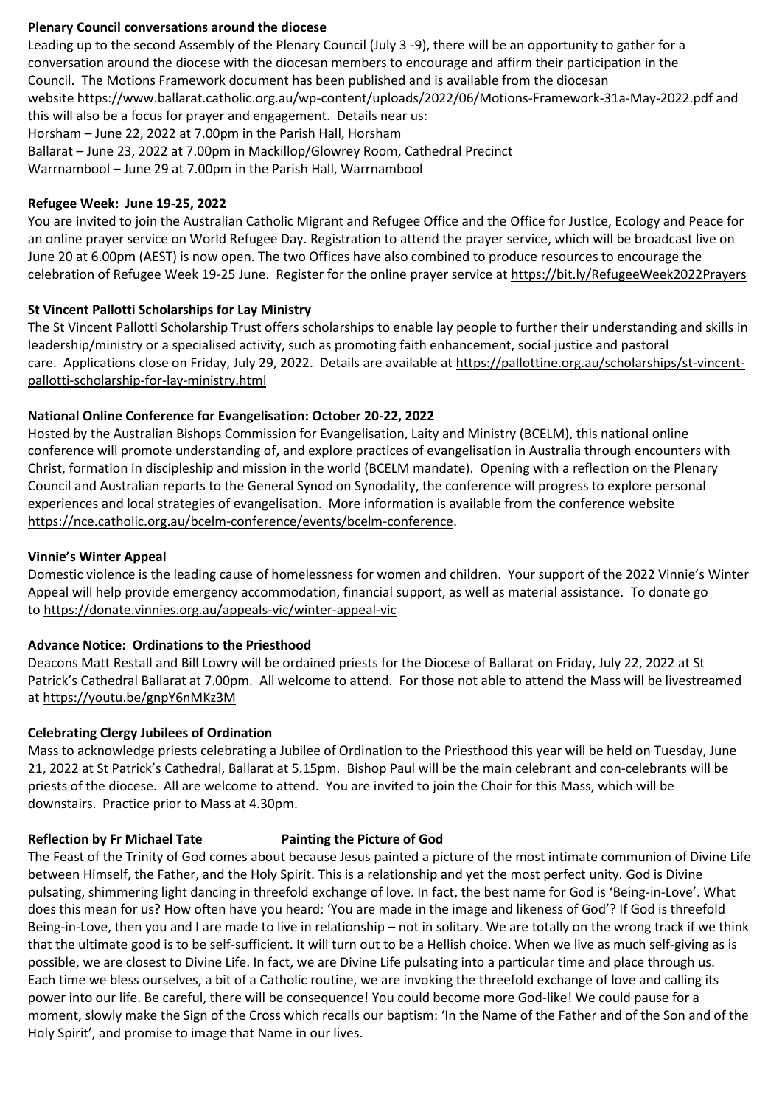## **Plenary Council conversations around the diocese**

Leading up to the second Assembly of the Plenary Council (July 3 -9), there will be an opportunity to gather for a conversation around the diocese with the diocesan members to encourage and affirm their participation in the Council. The Motions Framework document has been published and is available from the diocesan website <https://www.ballarat.catholic.org.au/wp-content/uploads/2022/06/Motions-Framework-31a-May-2022.pdf> and this will also be a focus for prayer and engagement. Details near us: Horsham – June 22, 2022 at 7.00pm in the Parish Hall, Horsham Ballarat – June 23, 2022 at 7.00pm in Mackillop/Glowrey Room, Cathedral Precinct Warrnambool – June 29 at 7.00pm in the Parish Hall, Warrnambool

## **Refugee Week: June 19-25, 2022**

You are invited to join the Australian Catholic Migrant and Refugee Office and the Office for Justice, Ecology and Peace for an online prayer service on World Refugee Day. Registration to attend the prayer service, which will be broadcast live on June 20 at 6.00pm (AEST) is now open. The two Offices have also combined to produce resources to encourage the celebration of Refugee Week 19-25 June. Register for the online prayer service at <https://bit.ly/RefugeeWeek2022Prayers>

## **St Vincent Pallotti Scholarships for Lay Ministry**

The St Vincent Pallotti Scholarship Trust offers scholarships to enable lay people to further their understanding and skills in leadership/ministry or a specialised activity, such as promoting faith enhancement, social justice and pastoral care. Applications close on Friday, July 29, 2022. Details are available at [https://pallottine.org.au/scholarships/st-vincent](https://pallottine.org.au/scholarships/st-vincent-pallotti-scholarship-for-lay-ministry.html)[pallotti-scholarship-for-lay-ministry.html](https://pallottine.org.au/scholarships/st-vincent-pallotti-scholarship-for-lay-ministry.html)

## **National Online Conference for Evangelisation: October 20-22, 2022**

Hosted by the Australian Bishops Commission for Evangelisation, Laity and Ministry (BCELM), this national online conference will promote understanding of, and explore practices of evangelisation in Australia through encounters with Christ, formation in discipleship and mission in the world (BCELM mandate). Opening with a reflection on the Plenary Council and Australian reports to the General Synod on Synodality, the conference will progress to explore personal experiences and local strategies of evangelisation. More information is available from the conference website [https://nce.catholic.org.au/bcelm-conference/events/bcelm-conference.](https://nce.catholic.org.au/bcelm-conference/events/bcelm-conference)

## **Vinnie's Winter Appeal**

Domestic violence is the leading cause of homelessness for women and children. Your support of the 2022 Vinnie's Winter Appeal will help provide emergency accommodation, financial support, as well as material assistance. To donate go to <https://donate.vinnies.org.au/appeals-vic/winter-appeal-vic>

## **Advance Notice: Ordinations to the Priesthood**

Deacons Matt Restall and Bill Lowry will be ordained priests for the Diocese of Ballarat on Friday, July 22, 2022 at St Patrick's Cathedral Ballarat at 7.00pm. All welcome to attend. For those not able to attend the Mass will be livestreamed at <https://youtu.be/gnpY6nMKz3M>

## **Celebrating Clergy Jubilees of Ordination**

Mass to acknowledge priests celebrating a Jubilee of Ordination to the Priesthood this year will be held on Tuesday, June 21, 2022 at St Patrick's Cathedral, Ballarat at 5.15pm. Bishop Paul will be the main celebrant and con-celebrants will be priests of the diocese. All are welcome to attend. You are invited to join the Choir for this Mass, which will be downstairs. Practice prior to Mass at 4.30pm.

## **Reflection by Fr Michael Tate Painting the Picture of God**

The Feast of the Trinity of God comes about because Jesus painted a picture of the most intimate communion of Divine Life between Himself, the Father, and the Holy Spirit. This is a relationship and yet the most perfect unity. God is Divine pulsating, shimmering light dancing in threefold exchange of love. In fact, the best name for God is 'Being-in-Love'. What does this mean for us? How often have you heard: 'You are made in the image and likeness of God'? If God is threefold Being-in-Love, then you and I are made to live in relationship – not in solitary. We are totally on the wrong track if we think that the ultimate good is to be self-sufficient. It will turn out to be a Hellish choice. When we live as much self-giving as is possible, we are closest to Divine Life. In fact, we are Divine Life pulsating into a particular time and place through us. Each time we bless ourselves, a bit of a Catholic routine, we are invoking the threefold exchange of love and calling its power into our life. Be careful, there will be consequence! You could become more God-like! We could pause for a moment, slowly make the Sign of the Cross which recalls our baptism: 'In the Name of the Father and of the Son and of the Holy Spirit', and promise to image that Name in our lives.